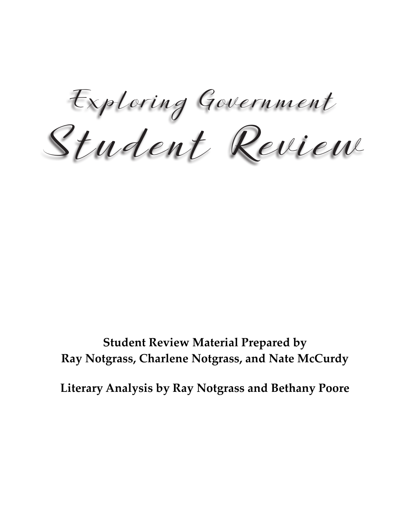Student Review Exploring Government

**Student Review Material Prepared by Ray Notgrass, Charlene Notgrass, and Nate McCurdy**

**Literary Analysis by Ray Notgrass and Bethany Poore**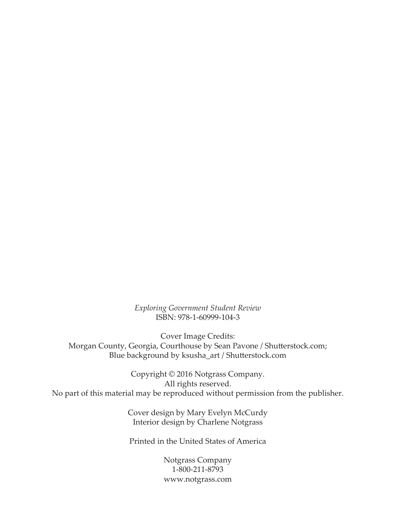*Exploring Government Student Review* ISBN: 978-1-60999-104-3

Cover Image Credits: Morgan County, Georgia, Courthouse by Sean Pavone / Shutterstock.com; Blue background by ksusha\_art / Shutterstock.com

Copyright © 2016 Notgrass Company. All rights reserved. No part of this material may be reproduced without permission from the publisher.

> Cover design by Mary Evelyn McCurdy Interior design by Charlene Notgrass

Printed in the United States of America

Notgrass Company 1-800-211-8793 www.notgrass.com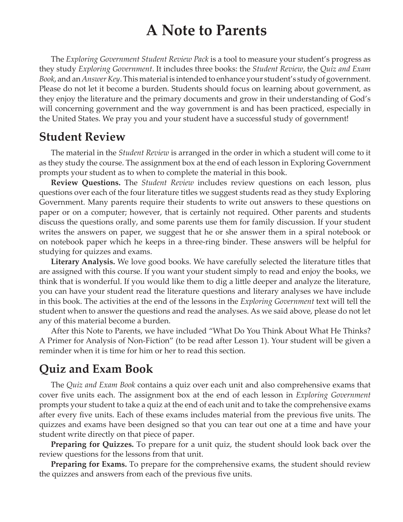### **A Note to Parents**

The *Exploring Government Student Review Pack* is a tool to measure your student's progress as they study *Exploring Government*. It includes three books: the *Student Review*, the *Quiz and Exam Book*, and an *Answer Key*. This material is intended to enhance your student's study of government. Please do not let it become a burden. Students should focus on learning about government, as they enjoy the literature and the primary documents and grow in their understanding of God's will concerning government and the way government is and has been practiced, especially in the United States. We pray you and your student have a successful study of government!

### **Student Review**

The material in the *Student Review* is arranged in the order in which a student will come to it as they study the course. The assignment box at the end of each lesson in Exploring Government prompts your student as to when to complete the material in this book.

**Review Questions.** The *Student Review* includes review questions on each lesson, plus questions over each of the four literature titles we suggest students read as they study Exploring Government. Many parents require their students to write out answers to these questions on paper or on a computer; however, that is certainly not required. Other parents and students discuss the questions orally, and some parents use them for family discussion. If your student writes the answers on paper, we suggest that he or she answer them in a spiral notebook or on notebook paper which he keeps in a three-ring binder. These answers will be helpful for studying for quizzes and exams.

**Literary Analysis.** We love good books. We have carefully selected the literature titles that are assigned with this course. If you want your student simply to read and enjoy the books, we think that is wonderful. If you would like them to dig a little deeper and analyze the literature, you can have your student read the literature questions and literary analyses we have include in this book. The activities at the end of the lessons in the *Exploring Government* text will tell the student when to answer the questions and read the analyses. As we said above, please do not let any of this material become a burden.

After this Note to Parents, we have included "What Do You Think About What He Thinks? A Primer for Analysis of Non-Fiction" (to be read after Lesson 1). Your student will be given a reminder when it is time for him or her to read this section.

### **Quiz and Exam Book**

The *Quiz and Exam Book* contains a quiz over each unit and also comprehensive exams that cover five units each. The assignment box at the end of each lesson in *Exploring Government*  prompts your student to take a quiz at the end of each unit and to take the comprehensive exams after every five units. Each of these exams includes material from the previous five units. The quizzes and exams have been designed so that you can tear out one at a time and have your student write directly on that piece of paper.

**Preparing for Quizzes.** To prepare for a unit quiz, the student should look back over the review questions for the lessons from that unit.

**Preparing for Exams.** To prepare for the comprehensive exams, the student should review the quizzes and answers from each of the previous five units.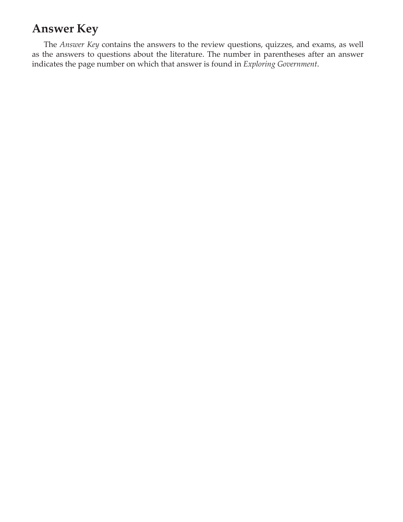### **Answer Key**

The *Answer Key* contains the answers to the review questions, quizzes, and exams, as well as the answers to questions about the literature. The number in parentheses after an answer indicates the page number on which that answer is found in *Exploring Government*.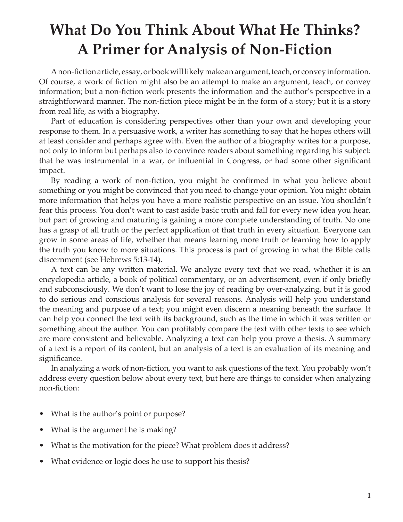### **What Do You Think About What He Thinks? A Primer for Analysis of Non-Fiction**

A non-fiction article, essay, or book will likely make an argument, teach, or convey information. Of course, a work of fiction might also be an attempt to make an argument, teach, or convey information; but a non-fiction work presents the information and the author's perspective in a straightforward manner. The non-fiction piece might be in the form of a story; but it is a story from real life, as with a biography.

Part of education is considering perspectives other than your own and developing your response to them. In a persuasive work, a writer has something to say that he hopes others will at least consider and perhaps agree with. Even the author of a biography writes for a purpose, not only to inform but perhaps also to convince readers about something regarding his subject: that he was instrumental in a war, or influential in Congress, or had some other significant impact.

By reading a work of non-fiction, you might be confirmed in what you believe about something or you might be convinced that you need to change your opinion. You might obtain more information that helps you have a more realistic perspective on an issue. You shouldn't fear this process. You don't want to cast aside basic truth and fall for every new idea you hear, but part of growing and maturing is gaining a more complete understanding of truth. No one has a grasp of all truth or the perfect application of that truth in every situation. Everyone can grow in some areas of life, whether that means learning more truth or learning how to apply the truth you know to more situations. This process is part of growing in what the Bible calls discernment (see Hebrews 5:13-14).

A text can be any written material. We analyze every text that we read, whether it is an encyclopedia article, a book of political commentary, or an advertisement, even if only briefly and subconsciously. We don't want to lose the joy of reading by over-analyzing, but it is good to do serious and conscious analysis for several reasons. Analysis will help you understand the meaning and purpose of a text; you might even discern a meaning beneath the surface. It can help you connect the text with its background, such as the time in which it was written or something about the author. You can profitably compare the text with other texts to see which are more consistent and believable. Analyzing a text can help you prove a thesis. A summary of a text is a report of its content, but an analysis of a text is an evaluation of its meaning and significance.

In analyzing a work of non-fiction, you want to ask questions of the text. You probably won't address every question below about every text, but here are things to consider when analyzing non-fiction:

- What is the author's point or purpose?
- What is the argument he is making?
- What is the motivation for the piece? What problem does it address?
- What evidence or logic does he use to support his thesis?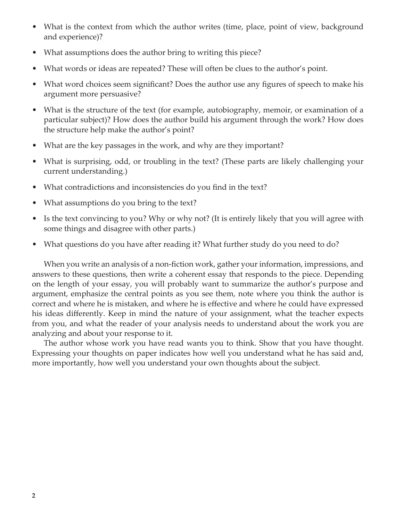- What is the context from which the author writes (time, place, point of view, background and experience)?
- What assumptions does the author bring to writing this piece?
- What words or ideas are repeated? These will often be clues to the author's point.
- What word choices seem significant? Does the author use any figures of speech to make his argument more persuasive?
- What is the structure of the text (for example, autobiography, memoir, or examination of a particular subject)? How does the author build his argument through the work? How does the structure help make the author's point?
- What are the key passages in the work, and why are they important?
- What is surprising, odd, or troubling in the text? (These parts are likely challenging your current understanding.)
- What contradictions and inconsistencies do you find in the text?
- What assumptions do you bring to the text?
- Is the text convincing to you? Why or why not? (It is entirely likely that you will agree with some things and disagree with other parts.)
- What questions do you have after reading it? What further study do you need to do?

When you write an analysis of a non-fiction work, gather your information, impressions, and answers to these questions, then write a coherent essay that responds to the piece. Depending on the length of your essay, you will probably want to summarize the author's purpose and argument, emphasize the central points as you see them, note where you think the author is correct and where he is mistaken, and where he is effective and where he could have expressed his ideas differently. Keep in mind the nature of your assignment, what the teacher expects from you, and what the reader of your analysis needs to understand about the work you are analyzing and about your response to it.

The author whose work you have read wants you to think. Show that you have thought. Expressing your thoughts on paper indicates how well you understand what he has said and, more importantly, how well you understand your own thoughts about the subject.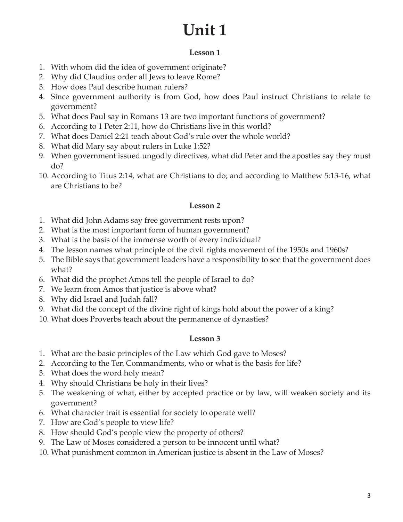## **Unit 1**

#### **Lesson 1**

- 1. With whom did the idea of government originate?
- 2. Why did Claudius order all Jews to leave Rome?
- 3. How does Paul describe human rulers?
- 4. Since government authority is from God, how does Paul instruct Christians to relate to government?
- 5. What does Paul say in Romans 13 are two important functions of government?
- 6. According to 1 Peter 2:11, how do Christians live in this world?
- 7. What does Daniel 2:21 teach about God's rule over the whole world?
- 8. What did Mary say about rulers in Luke 1:52?
- 9. When government issued ungodly directives, what did Peter and the apostles say they must do?
- 10. According to Titus 2:14, what are Christians to do; and according to Matthew 5:13-16, what are Christians to be?

#### **Lesson 2**

- 1. What did John Adams say free government rests upon?
- 2. What is the most important form of human government?
- 3. What is the basis of the immense worth of every individual?
- 4. The lesson names what principle of the civil rights movement of the 1950s and 1960s?
- 5. The Bible says that government leaders have a responsibility to see that the government does what?
- 6. What did the prophet Amos tell the people of Israel to do?
- 7. We learn from Amos that justice is above what?
- 8. Why did Israel and Judah fall?
- 9. What did the concept of the divine right of kings hold about the power of a king?
- 10. What does Proverbs teach about the permanence of dynasties?

- 1. What are the basic principles of the Law which God gave to Moses?
- 2. According to the Ten Commandments, who or what is the basis for life?
- 3. What does the word holy mean?
- 4. Why should Christians be holy in their lives?
- 5. The weakening of what, either by accepted practice or by law, will weaken society and its government?
- 6. What character trait is essential for society to operate well?
- 7. How are God's people to view life?
- 8. How should God's people view the property of others?
- 9. The Law of Moses considered a person to be innocent until what?
- 10. What punishment common in American justice is absent in the Law of Moses?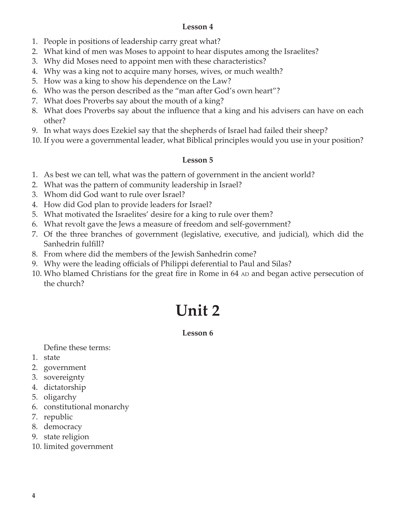- 1. People in positions of leadership carry great what?
- 2. What kind of men was Moses to appoint to hear disputes among the Israelites?
- 3. Why did Moses need to appoint men with these characteristics?
- 4. Why was a king not to acquire many horses, wives, or much wealth?
- 5. How was a king to show his dependence on the Law?
- 6. Who was the person described as the "man after God's own heart"?
- 7. What does Proverbs say about the mouth of a king?
- 8. What does Proverbs say about the influence that a king and his advisers can have on each other?
- 9. In what ways does Ezekiel say that the shepherds of Israel had failed their sheep?
- 10. If you were a governmental leader, what Biblical principles would you use in your position?

#### **Lesson 5**

- 1. As best we can tell, what was the pattern of government in the ancient world?
- 2. What was the pattern of community leadership in Israel?
- 3. Whom did God want to rule over Israel?
- 4. How did God plan to provide leaders for Israel?
- 5. What motivated the Israelites' desire for a king to rule over them?
- 6. What revolt gave the Jews a measure of freedom and self-government?
- 7. Of the three branches of government (legislative, executive, and judicial), which did the Sanhedrin fulfill?
- 8. From where did the members of the Jewish Sanhedrin come?
- 9. Why were the leading officials of Philippi deferential to Paul and Silas?
- 10. Who blamed Christians for the great fire in Rome in 64 AD and began active persecution of the church?

# **Unit 2**

#### **Lesson 6**

Define these terms:

- 1. state
- 2. government
- 3. sovereignty
- 4. dictatorship
- 5. oligarchy
- 6. constitutional monarchy
- 7. republic
- 8. democracy
- 9. state religion
- 10. limited government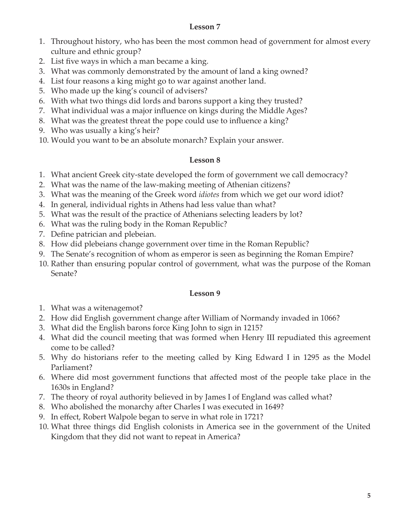- 1. Throughout history, who has been the most common head of government for almost every culture and ethnic group?
- 2. List five ways in which a man became a king.
- 3. What was commonly demonstrated by the amount of land a king owned?
- 4. List four reasons a king might go to war against another land.
- 5. Who made up the king's council of advisers?
- 6. With what two things did lords and barons support a king they trusted?
- 7. What individual was a major influence on kings during the Middle Ages?
- 8. What was the greatest threat the pope could use to influence a king?
- 9. Who was usually a king's heir?
- 10. Would you want to be an absolute monarch? Explain your answer.

#### **Lesson 8**

- 1. What ancient Greek city-state developed the form of government we call democracy?
- 2. What was the name of the law-making meeting of Athenian citizens?
- 3. What was the meaning of the Greek word *idiotes* from which we get our word idiot?
- 4. In general, individual rights in Athens had less value than what?
- 5. What was the result of the practice of Athenians selecting leaders by lot?
- 6. What was the ruling body in the Roman Republic?
- 7. Define patrician and plebeian.
- 8. How did plebeians change government over time in the Roman Republic?
- 9. The Senate's recognition of whom as emperor is seen as beginning the Roman Empire?
- 10. Rather than ensuring popular control of government, what was the purpose of the Roman Senate?

- 1. What was a witenagemot?
- 2. How did English government change after William of Normandy invaded in 1066?
- 3. What did the English barons force King John to sign in 1215?
- 4. What did the council meeting that was formed when Henry III repudiated this agreement come to be called?
- 5. Why do historians refer to the meeting called by King Edward I in 1295 as the Model Parliament?
- 6. Where did most government functions that affected most of the people take place in the 1630s in England?
- 7. The theory of royal authority believed in by James I of England was called what?
- 8. Who abolished the monarchy after Charles I was executed in 1649?
- 9. In effect, Robert Walpole began to serve in what role in 1721?
- 10. What three things did English colonists in America see in the government of the United Kingdom that they did not want to repeat in America?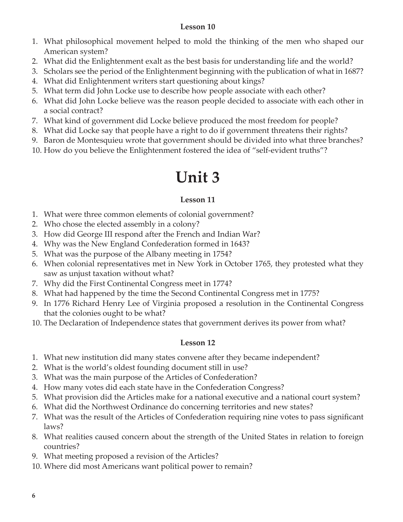- 1. What philosophical movement helped to mold the thinking of the men who shaped our American system?
- 2. What did the Enlightenment exalt as the best basis for understanding life and the world?
- 3. Scholars see the period of the Enlightenment beginning with the publication of what in 1687?
- 4. What did Enlightenment writers start questioning about kings?
- 5. What term did John Locke use to describe how people associate with each other?
- 6. What did John Locke believe was the reason people decided to associate with each other in a social contract?
- 7. What kind of government did Locke believe produced the most freedom for people?
- 8. What did Locke say that people have a right to do if government threatens their rights?
- 9. Baron de Montesquieu wrote that government should be divided into what three branches?
- 10. How do you believe the Enlightenment fostered the idea of "self-evident truths"?

## **Unit 3**

#### **Lesson 11**

- 1. What were three common elements of colonial government?
- 2. Who chose the elected assembly in a colony?
- 3. How did George III respond after the French and Indian War?
- 4. Why was the New England Confederation formed in 1643?
- 5. What was the purpose of the Albany meeting in 1754?
- 6. When colonial representatives met in New York in October 1765, they protested what they saw as unjust taxation without what?
- 7. Why did the First Continental Congress meet in 1774?
- 8. What had happened by the time the Second Continental Congress met in 1775?
- 9. In 1776 Richard Henry Lee of Virginia proposed a resolution in the Continental Congress that the colonies ought to be what?
- 10. The Declaration of Independence states that government derives its power from what?

- 1. What new institution did many states convene after they became independent?
- 2. What is the world's oldest founding document still in use?
- 3. What was the main purpose of the Articles of Confederation?
- 4. How many votes did each state have in the Confederation Congress?
- 5. What provision did the Articles make for a national executive and a national court system?
- 6. What did the Northwest Ordinance do concerning territories and new states?
- 7. What was the result of the Articles of Confederation requiring nine votes to pass significant laws?
- 8. What realities caused concern about the strength of the United States in relation to foreign countries?
- 9. What meeting proposed a revision of the Articles?
- 10. Where did most Americans want political power to remain?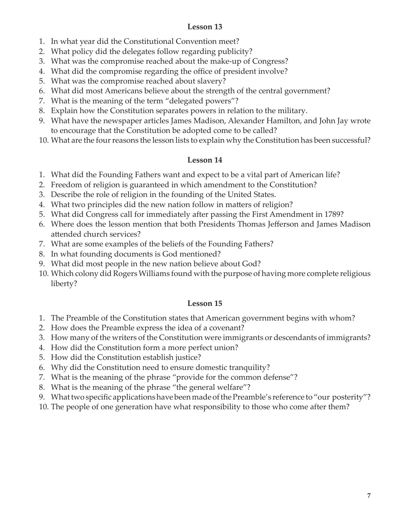- 1. In what year did the Constitutional Convention meet?
- 2. What policy did the delegates follow regarding publicity?
- 3. What was the compromise reached about the make-up of Congress?
- 4. What did the compromise regarding the office of president involve?
- 5. What was the compromise reached about slavery?
- 6. What did most Americans believe about the strength of the central government?
- 7. What is the meaning of the term "delegated powers"?
- 8. Explain how the Constitution separates powers in relation to the military.
- 9. What have the newspaper articles James Madison, Alexander Hamilton, and John Jay wrote to encourage that the Constitution be adopted come to be called?
- 10. What are the four reasons the lesson lists to explain why the Constitution has been successful?

#### **Lesson 14**

- 1. What did the Founding Fathers want and expect to be a vital part of American life?
- 2. Freedom of religion is guaranteed in which amendment to the Constitution?
- 3. Describe the role of religion in the founding of the United States.
- 4. What two principles did the new nation follow in matters of religion?
- 5. What did Congress call for immediately after passing the First Amendment in 1789?
- 6. Where does the lesson mention that both Presidents Thomas Jefferson and James Madison attended church services?
- 7. What are some examples of the beliefs of the Founding Fathers?
- 8. In what founding documents is God mentioned?
- 9. What did most people in the new nation believe about God?
- 10. Which colony did Rogers Williams found with the purpose of having more complete religious liberty?

- 1. The Preamble of the Constitution states that American government begins with whom?
- 2. How does the Preamble express the idea of a covenant?
- 3. How many of the writers of the Constitution were immigrants or descendants of immigrants?
- 4. How did the Constitution form a more perfect union?
- 5. How did the Constitution establish justice?
- 6. Why did the Constitution need to ensure domestic tranquility?
- 7. What is the meaning of the phrase "provide for the common defense"?
- 8. What is the meaning of the phrase "the general welfare"?
- 9. What two specific applications have been made of the Preamble's reference to "our posterity"?
- 10. The people of one generation have what responsibility to those who come after them?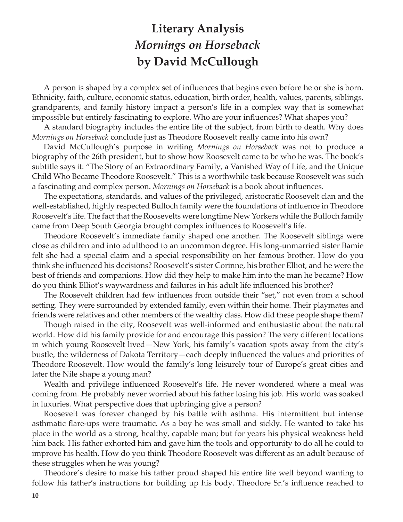### **Literary Analysis** *Mornings on Horseback* **by David McCullough**

A person is shaped by a complex set of influences that begins even before he or she is born. Ethnicity, faith, culture, economic status, education, birth order, health, values, parents, siblings, grandparents, and family history impact a person's life in a complex way that is somewhat impossible but entirely fascinating to explore. Who are your influences? What shapes you?

A standard biography includes the entire life of the subject, from birth to death. Why does *Mornings on Horseback* conclude just as Theodore Roosevelt really came into his own?

David McCullough's purpose in writing *Mornings on Horseback* was not to produce a biography of the 26th president, but to show how Roosevelt came to be who he was. The book's subtitle says it: "The Story of an Extraordinary Family, a Vanished Way of Life, and the Unique Child Who Became Theodore Roosevelt." This is a worthwhile task because Roosevelt was such a fascinating and complex person. *Mornings on Horseback* is a book about influences.

The expectations, standards, and values of the privileged, aristocratic Roosevelt clan and the well-established, highly respected Bulloch family were the foundations of influence in Theodore Roosevelt's life. The fact that the Roosevelts were longtime New Yorkers while the Bulloch family came from Deep South Georgia brought complex influences to Roosevelt's life.

Theodore Roosevelt's immediate family shaped one another. The Roosevelt siblings were close as children and into adulthood to an uncommon degree. His long-unmarried sister Bamie felt she had a special claim and a special responsibility on her famous brother. How do you think she influenced his decisions? Roosevelt's sister Corinne, his brother Elliot, and he were the best of friends and companions. How did they help to make him into the man he became? How do you think Elliot's waywardness and failures in his adult life influenced his brother?

The Roosevelt children had few influences from outside their "set," not even from a school setting. They were surrounded by extended family, even within their home. Their playmates and friends were relatives and other members of the wealthy class. How did these people shape them?

Though raised in the city, Roosevelt was well-informed and enthusiastic about the natural world. How did his family provide for and encourage this passion? The very different locations in which young Roosevelt lived—New York, his family's vacation spots away from the city's bustle, the wilderness of Dakota Territory—each deeply influenced the values and priorities of Theodore Roosevelt. How would the family's long leisurely tour of Europe's great cities and later the Nile shape a young man?

Wealth and privilege influenced Roosevelt's life. He never wondered where a meal was coming from. He probably never worried about his father losing his job. His world was soaked in luxuries. What perspective does that upbringing give a person?

Roosevelt was forever changed by his battle with asthma. His intermittent but intense asthmatic flare-ups were traumatic. As a boy he was small and sickly. He wanted to take his place in the world as a strong, healthy, capable man; but for years his physical weakness held him back. His father exhorted him and gave him the tools and opportunity to do all he could to improve his health. How do you think Theodore Roosevelt was different as an adult because of these struggles when he was young?

Theodore's desire to make his father proud shaped his entire life well beyond wanting to follow his father's instructions for building up his body. Theodore Sr.'s influence reached to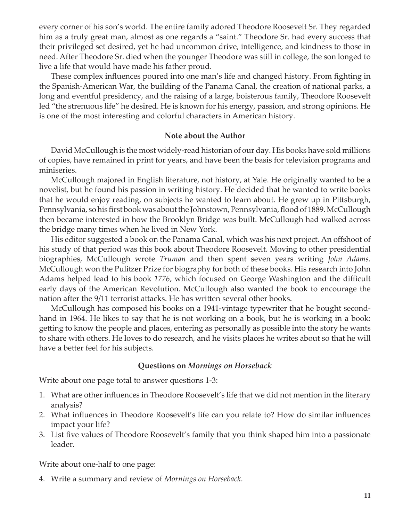every corner of his son's world. The entire family adored Theodore Roosevelt Sr. They regarded him as a truly great man, almost as one regards a "saint." Theodore Sr. had every success that their privileged set desired, yet he had uncommon drive, intelligence, and kindness to those in need. After Theodore Sr. died when the younger Theodore was still in college, the son longed to live a life that would have made his father proud.

These complex influences poured into one man's life and changed history. From fighting in the Spanish-American War, the building of the Panama Canal, the creation of national parks, a long and eventful presidency, and the raising of a large, boisterous family, Theodore Roosevelt led "the strenuous life" he desired. He is known for his energy, passion, and strong opinions. He is one of the most interesting and colorful characters in American history.

#### **Note about the Author**

David McCullough is the most widely-read historian of our day. His books have sold millions of copies, have remained in print for years, and have been the basis for television programs and miniseries.

McCullough majored in English literature, not history, at Yale. He originally wanted to be a novelist, but he found his passion in writing history. He decided that he wanted to write books that he would enjoy reading, on subjects he wanted to learn about. He grew up in Pittsburgh, Pennsylvania, so his first book was about the Johnstown, Pennsylvania, flood of 1889. McCullough then became interested in how the Brooklyn Bridge was built. McCullough had walked across the bridge many times when he lived in New York.

His editor suggested a book on the Panama Canal, which was his next project. An offshoot of his study of that period was this book about Theodore Roosevelt. Moving to other presidential biographies, McCullough wrote *Truman* and then spent seven years writing *John Adams.* McCullough won the Pulitzer Prize for biography for both of these books. His research into John Adams helped lead to his book *1776*, which focused on George Washington and the difficult early days of the American Revolution. McCullough also wanted the book to encourage the nation after the 9/11 terrorist attacks. He has written several other books.

McCullough has composed his books on a 1941-vintage typewriter that he bought secondhand in 1964. He likes to say that he is not working on a book, but he is working in a book: getting to know the people and places, entering as personally as possible into the story he wants to share with others. He loves to do research, and he visits places he writes about so that he will have a better feel for his subjects.

#### **Questions on** *Mornings on Horseback*

Write about one page total to answer questions 1-3:

- 1. What are other influences in Theodore Roosevelt's life that we did not mention in the literary analysis?
- 2. What influences in Theodore Roosevelt's life can you relate to? How do similar influences impact your life?
- 3. List five values of Theodore Roosevelt's family that you think shaped him into a passionate leader.

Write about one-half to one page:

4. Write a summary and review of *Mornings on Horseback*.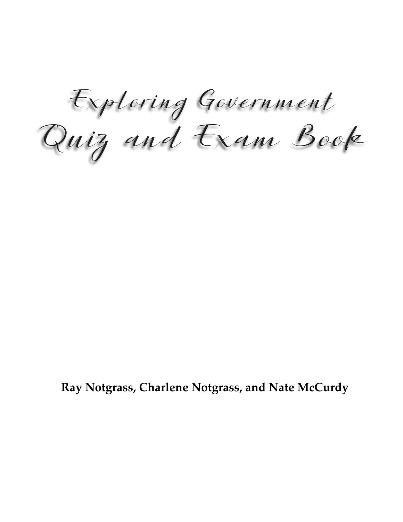Quiz and Exam Book Exploring Government

**Ray Notgrass, Charlene Notgrass, and Nate McCurdy**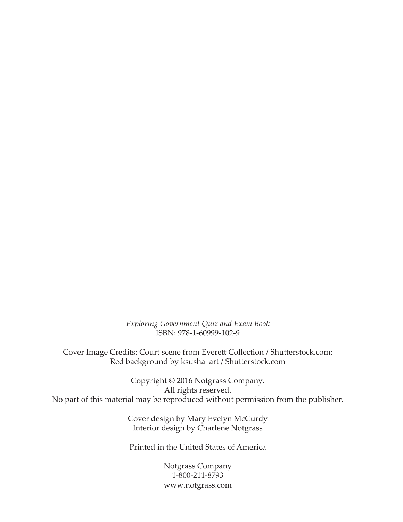*Exploring Government Quiz and Exam Book* ISBN: 978-1-60999-102-9

Cover Image Credits: Court scene from Everett Collection / Shutterstock.com; Red background by ksusha\_art / Shutterstock.com

Copyright © 2016 Notgrass Company. All rights reserved. No part of this material may be reproduced without permission from the publisher.

> Cover design by Mary Evelyn McCurdy Interior design by Charlene Notgrass

Printed in the United States of America

Notgrass Company 1-800-211-8793 www.notgrass.com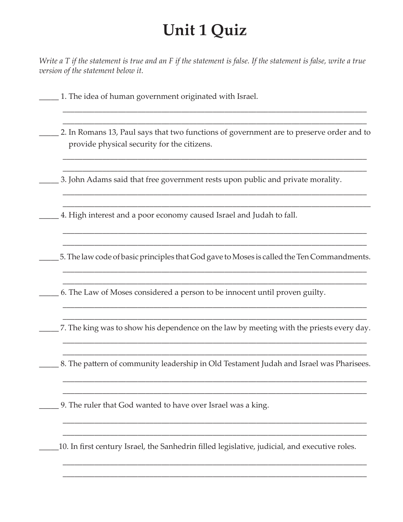### **Unit 1 Quiz**

*Write a T if the statement is true and an F if the statement is false. If the statement is false, write a true version of the statement below it.*

\_\_\_\_\_ 1. The idea of human government originated with Israel.

\_\_\_\_\_ 2. In Romans 13, Paul says that two functions of government are to preserve order and to provide physical security for the citizens.

\_\_\_\_\_\_\_\_\_\_\_\_\_\_\_\_\_\_\_\_\_\_\_\_\_\_\_\_\_\_\_\_\_\_\_\_\_\_\_\_\_\_\_\_\_\_\_\_\_\_\_\_\_\_\_\_\_\_\_\_\_\_\_\_\_\_\_\_\_\_\_\_\_\_\_\_\_ \_\_\_\_\_\_\_\_\_\_\_\_\_\_\_\_\_\_\_\_\_\_\_\_\_\_\_\_\_\_\_\_\_\_\_\_\_\_\_\_\_\_\_\_\_\_\_\_\_\_\_\_\_\_\_\_\_\_\_\_\_\_\_\_\_\_\_\_\_\_\_\_\_\_\_\_\_

\_\_\_\_\_\_\_\_\_\_\_\_\_\_\_\_\_\_\_\_\_\_\_\_\_\_\_\_\_\_\_\_\_\_\_\_\_\_\_\_\_\_\_\_\_\_\_\_\_\_\_\_\_\_\_\_\_\_\_\_\_\_\_\_\_\_\_\_\_\_\_\_\_\_\_\_\_ \_\_\_\_\_\_\_\_\_\_\_\_\_\_\_\_\_\_\_\_\_\_\_\_\_\_\_\_\_\_\_\_\_\_\_\_\_\_\_\_\_\_\_\_\_\_\_\_\_\_\_\_\_\_\_\_\_\_\_\_\_\_\_\_\_\_\_\_\_\_\_\_\_\_\_\_\_\_

\_\_\_\_\_\_\_\_\_\_\_\_\_\_\_\_\_\_\_\_\_\_\_\_\_\_\_\_\_\_\_\_\_\_\_\_\_\_\_\_\_\_\_\_\_\_\_\_\_\_\_\_\_\_\_\_\_\_\_\_\_\_\_\_\_\_\_\_\_\_\_\_\_\_\_\_\_ \_\_\_\_\_\_\_\_\_\_\_\_\_\_\_\_\_\_\_\_\_\_\_\_\_\_\_\_\_\_\_\_\_\_\_\_\_\_\_\_\_\_\_\_\_\_\_\_\_\_\_\_\_\_\_\_\_\_\_\_\_\_\_\_\_\_\_\_\_\_\_\_\_\_\_\_\_

\_\_\_\_\_\_\_\_\_\_\_\_\_\_\_\_\_\_\_\_\_\_\_\_\_\_\_\_\_\_\_\_\_\_\_\_\_\_\_\_\_\_\_\_\_\_\_\_\_\_\_\_\_\_\_\_\_\_\_\_\_\_\_\_\_\_\_\_\_\_\_\_\_\_\_\_\_ \_\_\_\_\_\_\_\_\_\_\_\_\_\_\_\_\_\_\_\_\_\_\_\_\_\_\_\_\_\_\_\_\_\_\_\_\_\_\_\_\_\_\_\_\_\_\_\_\_\_\_\_\_\_\_\_\_\_\_\_\_\_\_\_\_\_\_\_\_\_\_\_\_\_\_\_\_

\_\_\_\_\_ 3. John Adams said that free government rests upon public and private morality.

\_\_\_\_\_ 4. High interest and a poor economy caused Israel and Judah to fall.

\_\_\_\_\_ 5. The law code of basic principles that God gave to Moses is called the Ten Commandments.

\_\_\_\_\_\_\_\_\_\_\_\_\_\_\_\_\_\_\_\_\_\_\_\_\_\_\_\_\_\_\_\_\_\_\_\_\_\_\_\_\_\_\_\_\_\_\_\_\_\_\_\_\_\_\_\_\_\_\_\_\_\_\_\_\_\_\_\_\_\_\_\_\_\_\_\_\_ \_\_\_\_\_\_\_\_\_\_\_\_\_\_\_\_\_\_\_\_\_\_\_\_\_\_\_\_\_\_\_\_\_\_\_\_\_\_\_\_\_\_\_\_\_\_\_\_\_\_\_\_\_\_\_\_\_\_\_\_\_\_\_\_\_\_\_\_\_\_\_\_\_\_\_\_\_

\_\_\_\_\_ 6. The Law of Moses considered a person to be innocent until proven guilty.

\_\_\_\_\_\_\_\_\_\_\_\_\_\_\_\_\_\_\_\_\_\_\_\_\_\_\_\_\_\_\_\_\_\_\_\_\_\_\_\_\_\_\_\_\_\_\_\_\_\_\_\_\_\_\_\_\_\_\_\_\_\_\_\_\_\_\_\_\_\_\_\_\_\_\_\_\_ \_\_\_\_\_ 7. The king was to show his dependence on the law by meeting with the priests every day. \_\_\_\_\_\_\_\_\_\_\_\_\_\_\_\_\_\_\_\_\_\_\_\_\_\_\_\_\_\_\_\_\_\_\_\_\_\_\_\_\_\_\_\_\_\_\_\_\_\_\_\_\_\_\_\_\_\_\_\_\_\_\_\_\_\_\_\_\_\_\_\_\_\_\_\_\_

\_\_\_\_\_\_\_\_\_\_\_\_\_\_\_\_\_\_\_\_\_\_\_\_\_\_\_\_\_\_\_\_\_\_\_\_\_\_\_\_\_\_\_\_\_\_\_\_\_\_\_\_\_\_\_\_\_\_\_\_\_\_\_\_\_\_\_\_\_\_\_\_\_\_\_\_\_

\_\_\_\_\_\_\_\_\_\_\_\_\_\_\_\_\_\_\_\_\_\_\_\_\_\_\_\_\_\_\_\_\_\_\_\_\_\_\_\_\_\_\_\_\_\_\_\_\_\_\_\_\_\_\_\_\_\_\_\_\_\_\_\_\_\_\_\_\_\_\_\_\_\_\_\_\_ \_\_\_\_\_ 8. The pattern of community leadership in Old Testament Judah and Israel was Pharisees.

\_\_\_\_\_\_\_\_\_\_\_\_\_\_\_\_\_\_\_\_\_\_\_\_\_\_\_\_\_\_\_\_\_\_\_\_\_\_\_\_\_\_\_\_\_\_\_\_\_\_\_\_\_\_\_\_\_\_\_\_\_\_\_\_\_\_\_\_\_\_\_\_\_\_\_\_\_ \_\_\_\_\_\_\_\_\_\_\_\_\_\_\_\_\_\_\_\_\_\_\_\_\_\_\_\_\_\_\_\_\_\_\_\_\_\_\_\_\_\_\_\_\_\_\_\_\_\_\_\_\_\_\_\_\_\_\_\_\_\_\_\_\_\_\_\_\_\_\_\_\_\_\_\_\_

\_\_\_\_\_\_\_\_\_\_\_\_\_\_\_\_\_\_\_\_\_\_\_\_\_\_\_\_\_\_\_\_\_\_\_\_\_\_\_\_\_\_\_\_\_\_\_\_\_\_\_\_\_\_\_\_\_\_\_\_\_\_\_\_\_\_\_\_\_\_\_\_\_\_\_\_\_ \_\_\_\_\_\_\_\_\_\_\_\_\_\_\_\_\_\_\_\_\_\_\_\_\_\_\_\_\_\_\_\_\_\_\_\_\_\_\_\_\_\_\_\_\_\_\_\_\_\_\_\_\_\_\_\_\_\_\_\_\_\_\_\_\_\_\_\_\_\_\_\_\_\_\_\_\_

\_\_\_\_\_\_\_\_\_\_\_\_\_\_\_\_\_\_\_\_\_\_\_\_\_\_\_\_\_\_\_\_\_\_\_\_\_\_\_\_\_\_\_\_\_\_\_\_\_\_\_\_\_\_\_\_\_\_\_\_\_\_\_\_\_\_\_\_\_\_\_\_\_\_\_\_\_ \_\_\_\_\_\_\_\_\_\_\_\_\_\_\_\_\_\_\_\_\_\_\_\_\_\_\_\_\_\_\_\_\_\_\_\_\_\_\_\_\_\_\_\_\_\_\_\_\_\_\_\_\_\_\_\_\_\_\_\_\_\_\_\_\_\_\_\_\_\_\_\_\_\_\_\_\_

\_\_\_\_\_ 9. The ruler that God wanted to have over Israel was a king.

\_\_\_\_\_10. In first century Israel, the Sanhedrin filled legislative, judicial, and executive roles.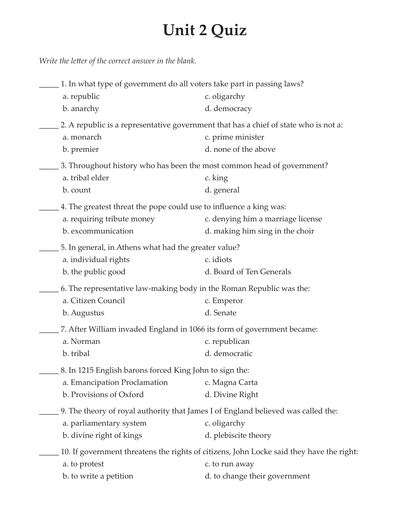# **Unit 2 Quiz**

*Write the letter of the correct answer in the blank.*

| 1. In what type of government do all voters take part in passing laws?<br>a. republic<br>b. anarchy                    | c. oligarchy<br>d. democracy                                                                                                                |
|------------------------------------------------------------------------------------------------------------------------|---------------------------------------------------------------------------------------------------------------------------------------------|
| a. monarch<br>b. premier                                                                                               | 2. A republic is a representative government that has a chief of state who is not a:<br>c. prime minister<br>d. none of the above           |
| a. tribal elder<br>b. count                                                                                            | 3. Throughout history who has been the most common head of government?<br>c. king<br>d. general                                             |
| 4. The greatest threat the pope could use to influence a king was:<br>a. requiring tribute money<br>b. excommunication | c. denying him a marriage license<br>d. making him sing in the choir                                                                        |
| 5. In general, in Athens what had the greater value?<br>a. individual rights<br>b. the public good                     | c. idiots<br>d. Board of Ten Generals                                                                                                       |
| 6. The representative law-making body in the Roman Republic was the:<br>a. Citizen Council<br>b. Augustus              | c. Emperor<br>d. Senate                                                                                                                     |
| a. Norman<br>b. tribal                                                                                                 | 7. After William invaded England in 1066 its form of government became:<br>c. republican<br>d. democratic                                   |
| 8. In 1215 English barons forced King John to sign the:<br>a. Emancipation Proclamation<br>b. Provisions of Oxford     | c. Magna Carta<br>d. Divine Right                                                                                                           |
| a. parliamentary system<br>b. divine right of kings                                                                    | 9. The theory of royal authority that James I of England believed was called the:<br>c. oligarchy<br>d. plebiscite theory                   |
| a. to protest<br>b. to write a petition                                                                                | 10. If government threatens the rights of citizens, John Locke said they have the right:<br>c. to run away<br>d. to change their government |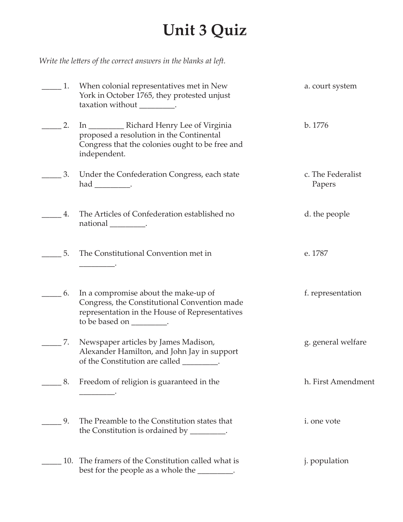# **Unit 3 Quiz**

*Write the letters of the correct answers in the blanks at left.*

| 1.  | When colonial representatives met in New<br>York in October 1765, they protested unjust<br>taxation without __________.                                              | a. court system             |
|-----|----------------------------------------------------------------------------------------------------------------------------------------------------------------------|-----------------------------|
| 2.  | proposed a resolution in the Continental<br>Congress that the colonies ought to be free and<br>independent.                                                          | b. 1776                     |
| 3.  | Under the Confederation Congress, each state<br>$had$ __________.                                                                                                    | c. The Federalist<br>Papers |
| 4.  | The Articles of Confederation established no<br>national ___________.                                                                                                | d. the people               |
| 5.  | The Constitutional Convention met in                                                                                                                                 | e. 1787                     |
| 6.  | In a compromise about the make-up of<br>Congress, the Constitutional Convention made<br>representation in the House of Representatives<br>to be based on __________. | f. representation           |
| 7.  | Newspaper articles by James Madison,<br>Alexander Hamilton, and John Jay in support<br>of the Constitution are called _________.                                     | g. general welfare          |
| 8.  | Freedom of religion is guaranteed in the                                                                                                                             | h. First Amendment          |
| 9.  | The Preamble to the Constitution states that<br>the Constitution is ordained by _________.                                                                           | i. one vote                 |
| 10. | The framers of the Constitution called what is<br>best for the people as a whole the _________.                                                                      | <i>j.</i> population        |